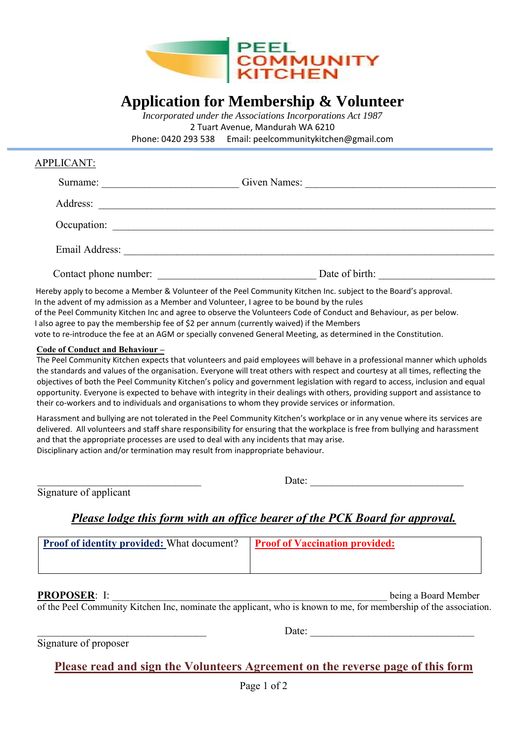

# **Application for Membership & Volunteer**

*Incorporated under the Associations Incorporations Act 1987* 2 Tuart Avenue, Mandurah WA 6210 Phone: 0420 293 538 Email: peelcommunitykitchen@gmail.com

## APPLICANT:

| Surname:              | Given Names:   |  |
|-----------------------|----------------|--|
| Address:              |                |  |
| Occupation:           |                |  |
| Email Address:        |                |  |
| Contact phone number: | Date of birth: |  |

 Hereby apply to become a Member & Volunteer of the Peel Community Kitchen Inc. subject to the Board's approval. In the advent of my admission as a Member and Volunteer, I agree to be bound by the rules of the Peel Community Kitchen Inc and agree to observe the Volunteers Code of Conduct and Behaviour, as per below. I also agree to pay the membership fee of \$2 per annum (currently waived) if the Members vote to re-introduce the fee at an AGM or specially convened General Meeting, as determined in the Constitution.

### **Code of Conduct and Behaviour –**

 The Peel Community Kitchen expects that volunteers and paid employees will behave in a professional manner which upholds the standards and values of the organisation. Everyone will treat others with respect and courtesy at all times, reflecting the objectives of both the Peel Community Kitchen's policy and government legislation with regard to access, inclusion and equal opportunity. Everyone is expected to behave with integrity in their dealings with others, providing support and assistance to their co-workers and to individuals and organisations to whom they provide services or information.

 Harassment and bullying are not tolerated in the Peel Community Kitchen's workplace or in any venue where its services are delivered. All volunteers and staff share responsibility for ensuring that the workplace is free from bullying and harassment and that the appropriate processes are used to deal with any incidents that may arise. Disciplinary action and/or termination may result from inappropriate behaviour.

Date:

Date:

Signature of applicant

## *Please lodge this form with an office bearer of the PCK Board for approval.*

| <b>Proof of identity provided:</b> What document? | <b>Proof of Vaccination provided:</b> |
|---------------------------------------------------|---------------------------------------|
|                                                   |                                       |

 **PROPOSER**: I: \_\_\_\_\_\_\_\_\_\_\_\_\_\_\_\_\_\_\_\_\_\_\_\_\_\_\_\_\_\_\_\_\_\_\_\_\_\_\_\_\_\_\_\_\_\_\_\_\_\_\_\_ being a Board Member

of the Peel Community Kitchen Inc, nominate the applicant, who is known to me, for membership of the association.

Signature of proposer

## **Please read and sign the Volunteers Agreement on the reverse page of this form**